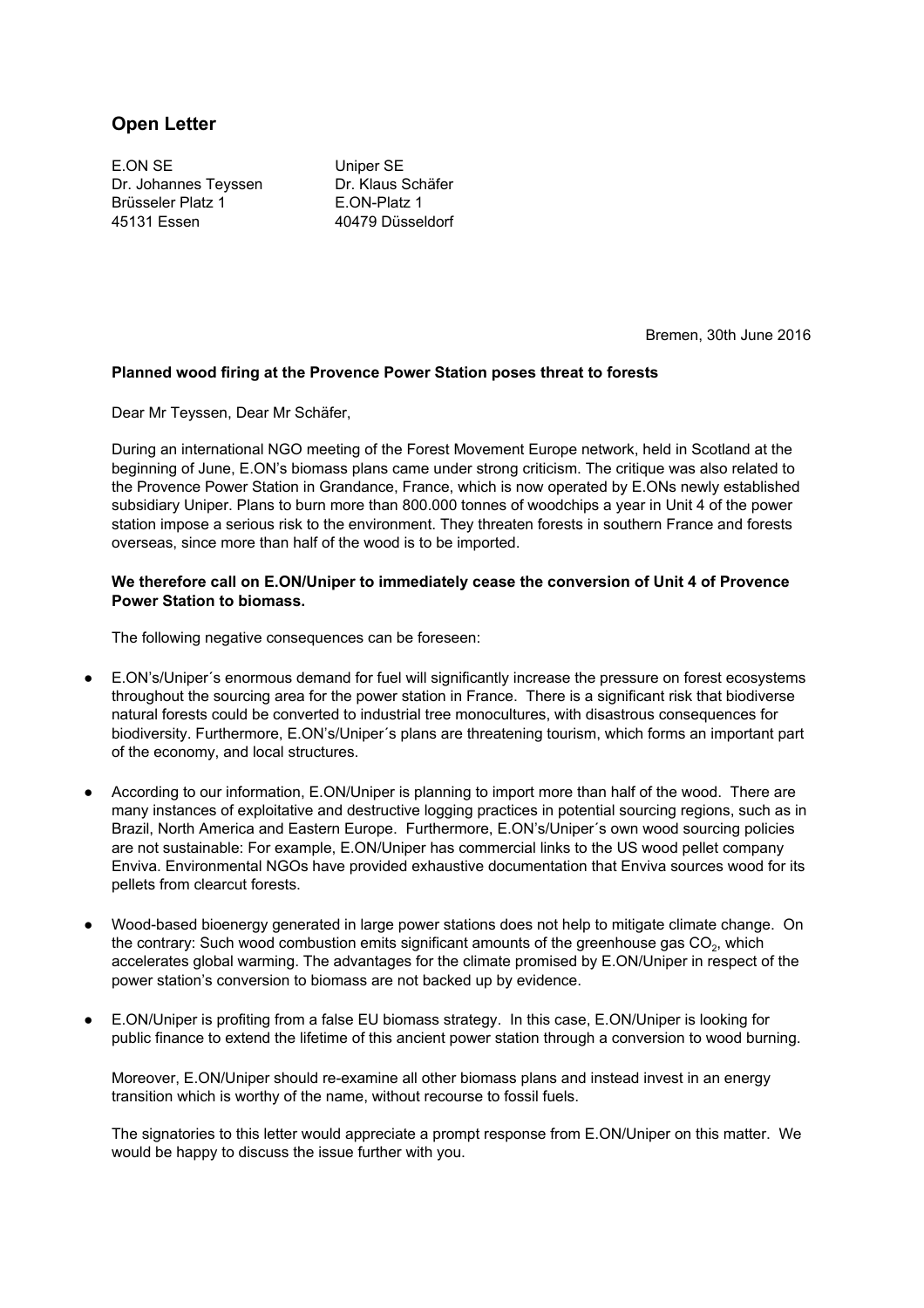## **Open Letter**

E.ON SE Uniper SE Dr. Johannes Teyssen Dr. Klaus Schäfer Brüsseler Platz 1 E.ON-Platz 1 45131 Essen 40479 Düsseldorf

Bremen, 30th June 2016

## **Planned wood firing at the Provence Power Station poses threat to forests**

Dear Mr Teyssen, Dear Mr Schäfer,

During an international NGO meeting of the Forest Movement Europe network, held in Scotland at the beginning of June, E.ON's biomass plans came under strong criticism. The critique was also related to the Provence Power Station in Grandance, France, which is now operated by E.ONs newly established subsidiary Uniper. Plans to burn more than 800.000 tonnes of woodchips a year in Unit 4 of the power station impose a serious risk to the environment. They threaten forests in southern France and forests overseas, since more than half of the wood is to be imported.

## **We therefore call on E.ON/Uniper to immediately cease the conversion of Unit 4 of Provence Power Station to biomass.**

The following negative consequences can be foreseen:

- E.ON's/Uniper's enormous demand for fuel will significantly increase the pressure on forest ecosystems throughout the sourcing area for the power station in France. There is a significant risk that biodiverse natural forests could be converted to industrial tree monocultures, with disastrous consequences for biodiversity. Furthermore, E.ON's/Uniper´s plans are threatening tourism, which forms an important part of the economy, and local structures.
- According to our information, E.ON/Uniper is planning to import more than half of the wood. There are many instances of exploitative and destructive logging practices in potential sourcing regions, such as in Brazil, North America and Eastern Europe. Furthermore, E.ON's/Uniper´s own wood sourcing policies are not sustainable: For example, E.ON/Uniper has commercial links to the US wood pellet company Enviva. Environmental NGOs have provided exhaustive documentation that Enviva sources wood for its pellets from clearcut forests.
- Wood-based bioenergy generated in large power stations does not help to mitigate climate change. On the contrary: Such wood combustion emits significant amounts of the greenhouse gas  $\mathsf{CO}_2$ , which accelerates global warming. The advantages for the climate promised by E.ON/Uniper in respect of the power station's conversion to biomass are not backed up by evidence.
- E.ON/Uniper is profiting from a false EU biomass strategy. In this case, E.ON/Uniper is looking for public finance to extend the lifetime of this ancient power station through a conversion to wood burning.

Moreover, E.ON/Uniper should re-examine all other biomass plans and instead invest in an energy transition which is worthy of the name, without recourse to fossil fuels.

The signatories to this letter would appreciate a prompt response from E.ON/Uniper on this matter. We would be happy to discuss the issue further with you.